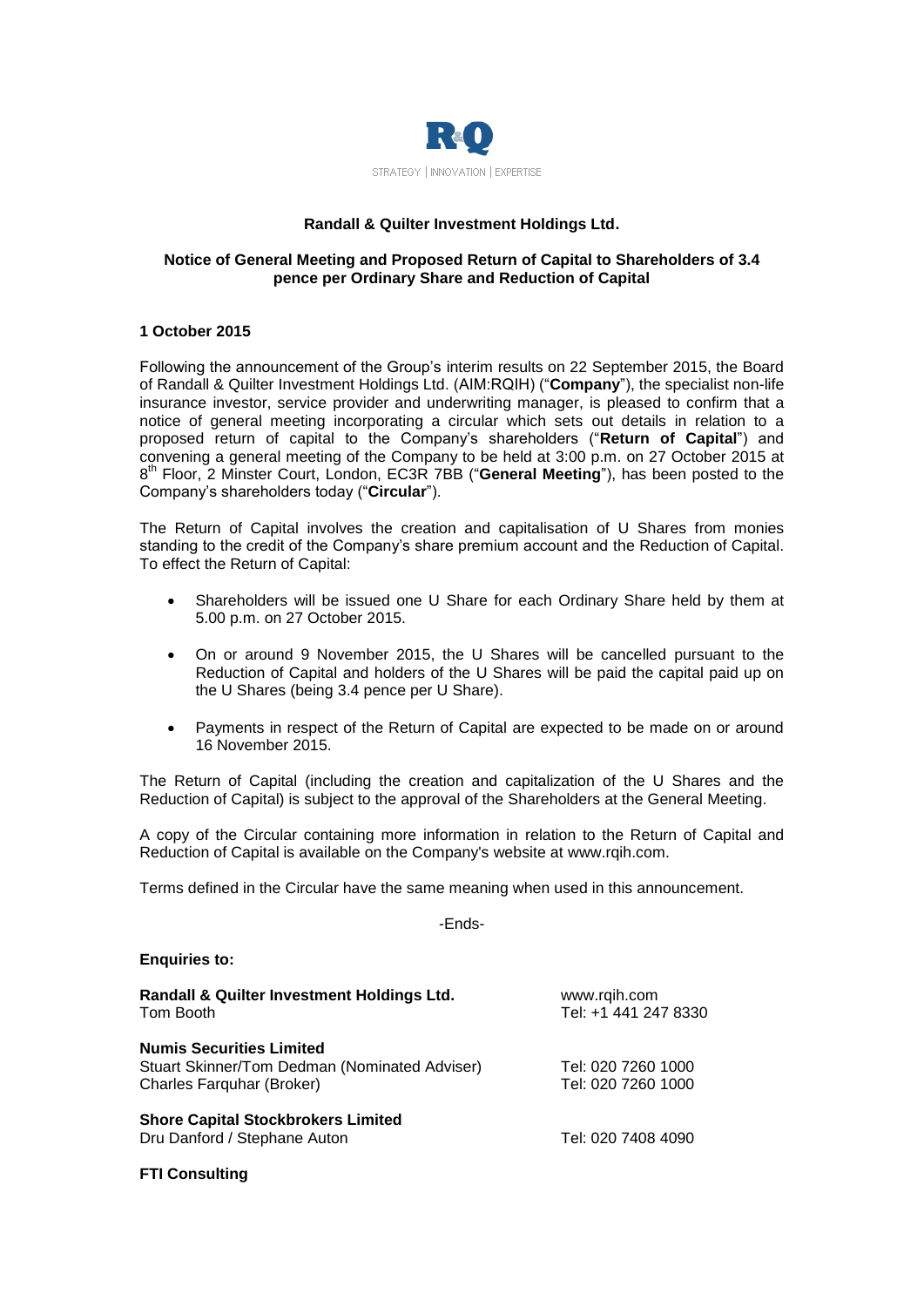

# **Randall & Quilter Investment Holdings Ltd.**

# **Notice of General Meeting and Proposed Return of Capital to Shareholders of 3.4 pence per Ordinary Share and Reduction of Capital**

# **1 October 2015**

Following the announcement of the Group's interim results on 22 September 2015, the Board of Randall & Quilter Investment Holdings Ltd. (AIM:RQIH) ("**Company**"), the specialist non-life insurance investor, service provider and underwriting manager, is pleased to confirm that a notice of general meeting incorporating a circular which sets out details in relation to a proposed return of capital to the Company's shareholders ("**Return of Capital**") and convening a general meeting of the Company to be held at 3:00 p.m. on 27 October 2015 at 8 th Floor, 2 Minster Court, London, EC3R 7BB ("**General Meeting**"), has been posted to the Company's shareholders today ("**Circular**").

The Return of Capital involves the creation and capitalisation of U Shares from monies standing to the credit of the Company's share premium account and the Reduction of Capital. To effect the Return of Capital:

- Shareholders will be issued one U Share for each Ordinary Share held by them at 5.00 p.m. on 27 October 2015.
- On or around 9 November 2015, the U Shares will be cancelled pursuant to the Reduction of Capital and holders of the U Shares will be paid the capital paid up on the U Shares (being 3.4 pence per U Share).
- Payments in respect of the Return of Capital are expected to be made on or around 16 November 2015.

The Return of Capital (including the creation and capitalization of the U Shares and the Reduction of Capital) is subject to the approval of the Shareholders at the General Meeting.

A copy of the Circular containing more information in relation to the Return of Capital and Reduction of Capital is available on the Company's website at [www.rqih.com.](http://www.rqih.com/)

Terms defined in the Circular have the same meaning when used in this announcement.

-Ends-

## **Enquiries to:**

| Randall & Quilter Investment Holdings Ltd.<br>Tom Booth                                                       | www.rqih.com<br>Tel: +1 441 247 8330     |
|---------------------------------------------------------------------------------------------------------------|------------------------------------------|
| <b>Numis Securities Limited</b><br>Stuart Skinner/Tom Dedman (Nominated Adviser)<br>Charles Farguhar (Broker) | Tel: 020 7260 1000<br>Tel: 020 7260 1000 |
| <b>Shore Capital Stockbrokers Limited</b><br>Dru Danford / Stephane Auton                                     | Tel: 020 7408 4090                       |

## **FTI Consulting**